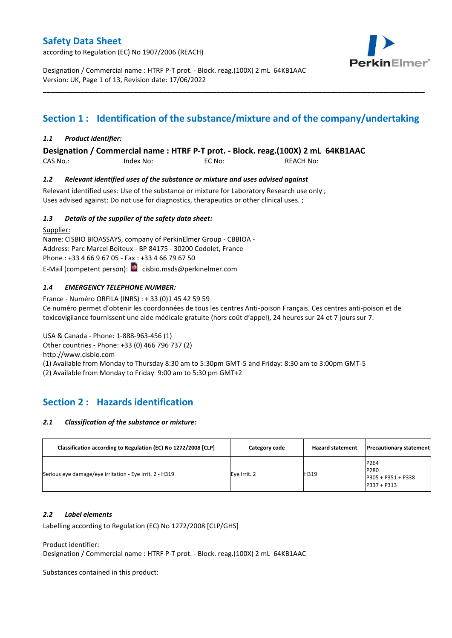according to Regulation (EC) No 1907/2006 (REACH)



Designation / Commercial name : HTRF P-T prot. - Block. reag.(100X) 2 mL 64KB1AAC Version: UK, Page 1 of 13, Revision date: 17/06/2022

# **Section 1 : Identification of the substance/mixture and of the company/undertaking**

\_\_\_\_\_\_\_\_\_\_\_\_\_\_\_\_\_\_\_\_\_\_\_\_\_\_\_\_\_\_\_\_\_\_\_\_\_\_\_\_\_\_\_\_\_\_\_\_\_\_\_\_\_\_\_\_\_\_\_\_\_\_\_\_\_\_\_\_\_\_\_\_\_\_\_\_\_\_\_\_\_\_\_\_\_\_\_\_\_\_\_\_\_\_\_\_\_\_\_\_\_

#### *1.1 Product identifier:*

**Designation / Commercial name : HTRF P-T prot. - Block. reag.(100X) 2 mL 64KB1AAC** 

CAS No.: Index No: EC No: REACH No:

#### *1.2 Relevant identified uses of the substance or mixture and uses advised against*

Relevant identified uses: Use of the substance or mixture for Laboratory Research use only; Uses advised against: Do not use for diagnostics, therapeutics or other clinical uses. ;

#### *1.3 Details of the supplier of the safety data sheet:*

Supplier: Name: CISBIO BIOASSAYS, company of PerkinElmer Group - CBBIOA - Address: Parc Marcel Boiteux - BP 84175 - 30200 Codolet, France Phone : +33 4 66 9 67 05 - Fax : +33 4 66 79 67 50 E-Mail (competent person): **c**isbio.msds@perkinelmer.com

#### *1.4 EMERGENCY TELEPHONE NUMBER:*

France - Numéro ORFILA (INRS) : + 33 (0)1 45 42 59 59 Ce numéro permet d'obtenir les coordonnées de tous les centres Anti-poison Français. Ces centres anti-poison et de toxicovigilance fournissent une aide médicale gratuite (hors coût d'appel), 24 heures sur 24 et 7 jours sur 7.

USA & Canada - Phone: 1-888-963-456 (1)

Other countries - Phone: +33 (0) 466 796 737 (2)

http://www.cisbio.com

(1) Available from Monday to Thursday 8:30 am to 5:30pm GMT-5 and Friday: 8:30 am to 3:00pm GMT-5

(2) Available from Monday to Friday 9:00 am to 5:30 pm GMT+2

### **Section 2 : Hazards identification**

#### *2.1 Classification of the substance or mixture:*

| Classification according to Regulation (EC) No 1272/2008 [CLP] | Category code | <b>Hazard statement</b> | <b>Precautionary statement</b>                      |
|----------------------------------------------------------------|---------------|-------------------------|-----------------------------------------------------|
| Serious eye damage/eye irritation - Eye Irrit. 2 - H319        | Eye Irrit. 2  | H319                    | P264<br>P280<br>P305 + P351 + P338<br>$P337 + P313$ |

#### *2.2 Label elements*

Labelling according to Regulation (EC) No 1272/2008 [CLP/GHS]

Product identifier:

Designation / Commercial name : HTRF P-T prot. - Block. reag.(100X) 2 mL 64KB1AAC

Substances contained in this product: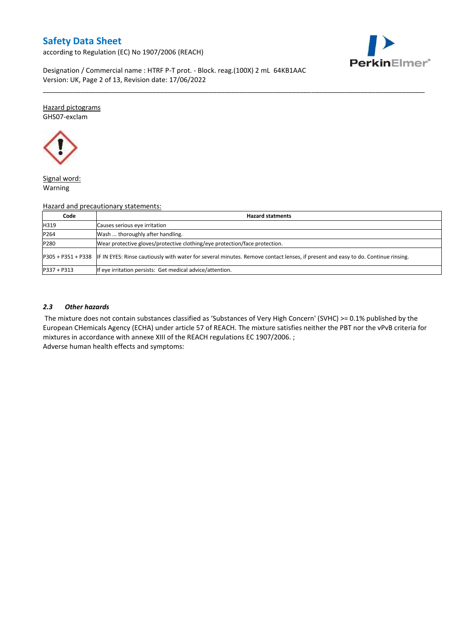according to Regulation (EC) No 1907/2006 (REACH)



Designation / Commercial name : HTRF P-T prot. - Block. reag.(100X) 2 mL 64KB1AAC Version: UK, Page 2 of 13, Revision date: 17/06/2022

Hazard pictograms GHS07-exclam



Signal word: Warning

#### Hazard and precautionary statements:

| Code          | <b>Hazard statments</b>                                                                                                                             |
|---------------|-----------------------------------------------------------------------------------------------------------------------------------------------------|
| H319          | Causes serious eye irritation                                                                                                                       |
| P264          | Wash  thoroughly after handling.                                                                                                                    |
| P280          | Wear protective gloves/protective clothing/eye protection/face protection.                                                                          |
|               | P305 + P351 + P338 IF IN EYES: Rinse cautiously with water for several minutes. Remove contact lenses, if present and easy to do. Continue rinsing. |
| $P337 + P313$ | If eye irritation persists: Get medical advice/attention.                                                                                           |

\_\_\_\_\_\_\_\_\_\_\_\_\_\_\_\_\_\_\_\_\_\_\_\_\_\_\_\_\_\_\_\_\_\_\_\_\_\_\_\_\_\_\_\_\_\_\_\_\_\_\_\_\_\_\_\_\_\_\_\_\_\_\_\_\_\_\_\_\_\_\_\_\_\_\_\_\_\_\_\_\_\_\_\_\_\_\_\_\_\_\_\_\_\_\_\_\_\_\_\_\_

#### *2.3 Other hazards*

The mixture does not contain substances classified as 'Substances of Very High Concern' (SVHC) >= 0.1% published by the European CHemicals Agency (ECHA) under article 57 of REACH. The mixture satisfies neither the PBT nor the vPvB criteria for mixtures in accordance with annexe XIII of the REACH regulations EC 1907/2006. ; Adverse human health effects and symptoms: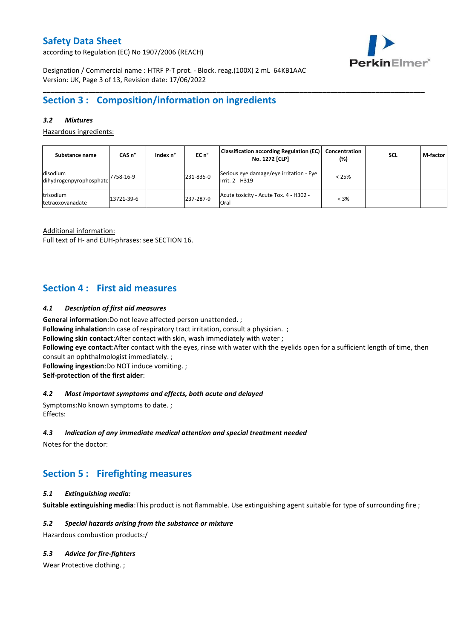according to Regulation (EC) No 1907/2006 (REACH)



Designation / Commercial name : HTRF P-T prot. - Block. reag.(100X) 2 mL 64KB1AAC Version: UK, Page 3 of 13, Revision date: 17/06/2022

### **Section 3 : Composition/information on ingredients**

#### *3.2 Mixtures*

Hazardous ingredients:

| Substance name                        | CAS <sub>n</sub> ° | Index n° | $ECn$ <sup>°</sup> | <b>Classification according Regulation (EC)</b><br>No. 1272 [CLP] | Concentration<br>(%) | <b>SCL</b> | M-factor |
|---------------------------------------|--------------------|----------|--------------------|-------------------------------------------------------------------|----------------------|------------|----------|
| disodium<br>dihydrogenpyrophosphate   | 7758-16-9          |          | 231-835-0          | Serious eye damage/eye irritation - Eye<br>Irrit. 2 - H319        | $< 25\%$             |            |          |
| trisodium<br><b>Itetraoxovanadate</b> | 13721-39-6         |          | 237-287-9          | Acute toxicity - Acute Tox. 4 - H302 -<br>Oral                    | $< 3\%$              |            |          |

\_\_\_\_\_\_\_\_\_\_\_\_\_\_\_\_\_\_\_\_\_\_\_\_\_\_\_\_\_\_\_\_\_\_\_\_\_\_\_\_\_\_\_\_\_\_\_\_\_\_\_\_\_\_\_\_\_\_\_\_\_\_\_\_\_\_\_\_\_\_\_\_\_\_\_\_\_\_\_\_\_\_\_\_\_\_\_\_\_\_\_\_\_\_\_\_\_\_\_\_\_

Additional information:

Full text of H- and EUH-phrases: see SECTION 16.

### **Section 4 : First aid measures**

#### *4.1 Description of first aid measures*

**General information**:Do not leave affected person unattended. ;

**Following inhalation:**In case of respiratory tract irritation, consult a physician. ;

**Following skin contact**:After contact with skin, wash immediately with water ;

**Following eye contact**:After contact with the eyes, rinse with water with the eyelids open for a sufficient length of time, then consult an ophthalmologist immediately. ;

**Following ingestion**:Do NOT induce vomiting. ;

**Self-protection of the first aider**:

#### *4.2 Most important symptoms and effects, both acute and delayed*

Symptoms:No known symptoms to date. ; Effects:

#### *4.3 Indication of any immediate medical attention and special treatment needed*

Notes for the doctor:

### **Section 5 : Firefighting measures**

#### *5.1 Extinguishing media:*

**Suitable extinguishing media**:This product is not flammable. Use extinguishing agent suitable for type of surrounding fire ;

#### *5.2 Special hazards arising from the substance or mixture*

Hazardous combustion products:/

#### *5.3 Advice for fire-fighters*

Wear Protective clothing.;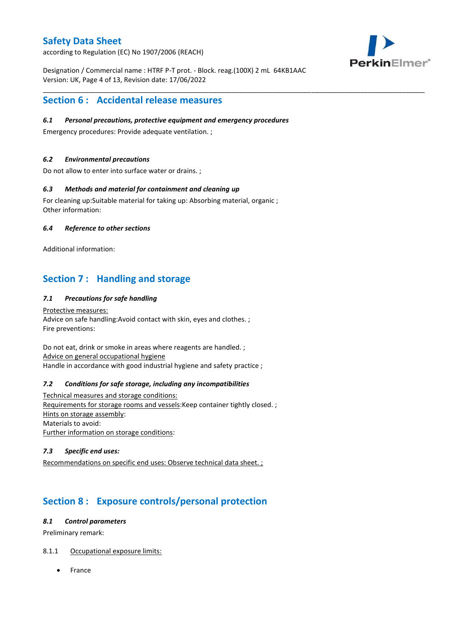according to Regulation (EC) No 1907/2006 (REACH)



Designation / Commercial name : HTRF P-T prot. - Block. reag.(100X) 2 mL 64KB1AAC Version: UK, Page 4 of 13, Revision date: 17/06/2022

\_\_\_\_\_\_\_\_\_\_\_\_\_\_\_\_\_\_\_\_\_\_\_\_\_\_\_\_\_\_\_\_\_\_\_\_\_\_\_\_\_\_\_\_\_\_\_\_\_\_\_\_\_\_\_\_\_\_\_\_\_\_\_\_\_\_\_\_\_\_\_\_\_\_\_\_\_\_\_\_\_\_\_\_\_\_\_\_\_\_\_\_\_\_\_\_\_\_\_\_\_

### **Section 6 : Accidental release measures**

#### *6.1 Personal precautions, protective equipment and emergency procedures*

Emergency procedures: Provide adequate ventilation. ;

#### *6.2 Environmental precautions*

Do not allow to enter into surface water or drains. ;

#### *6.3 Methods and material for containment and cleaning up*

For cleaning up:Suitable material for taking up: Absorbing material, organic ; Other information:

#### *6.4 Reference to other sections*

Additional information:

## **Section 7 : Handling and storage**

#### *7.1 Precautions for safe handling*

Protective measures: Advice on safe handling:Avoid contact with skin, eyes and clothes. ; Fire preventions:

Do not eat, drink or smoke in areas where reagents are handled. ; Advice on general occupational hygiene Handle in accordance with good industrial hygiene and safety practice ;

#### *7.2 Conditions for safe storage, including any incompatibilities*

Technical measures and storage conditions: Requirements for storage rooms and vessels:Keep container tightly closed. ; Hints on storage assembly: Materials to avoid: Further information on storage conditions:

#### *7.3 Specific end uses:*

Recommendations on specific end uses: Observe technical data sheet. ;

# **Section 8 : Exposure controls/personal protection**

#### *8.1 Control parameters*

Preliminary remark:

#### 8.1.1 Occupational exposure limits:

France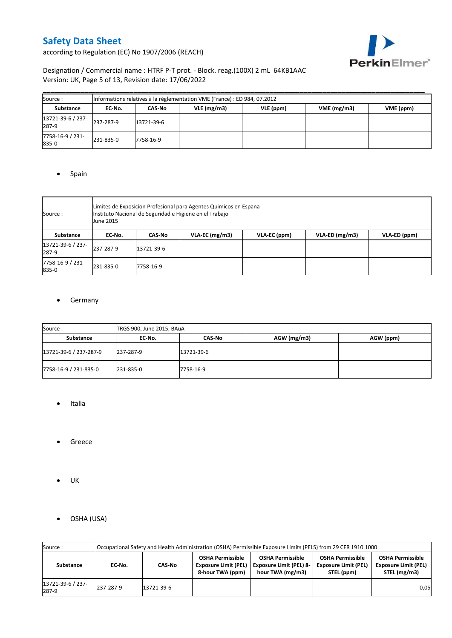

according to Regulation (EC) No 1907/2006 (REACH)

### Designation / Commercial name : HTRF P-T prot. - Block. reag.(100X) 2 mL 64KB1AAC Version: UK, Page 5 of 13, Revision date: 17/06/2022

| Source:                    |           |            | Informations relatives à la réglementation VME (France) : ED 984, 07.2012 |           |            |           |
|----------------------------|-----------|------------|---------------------------------------------------------------------------|-----------|------------|-----------|
| <b>Substance</b>           | EC No.    | CAS-No     | $VLE$ (mg/m3)                                                             | VLE (ppm) | VME(mg/m3) | VME (ppm) |
| 13721-39-6 / 237-<br>287-9 | 237-287-9 | 13721-39-6 |                                                                           |           |            |           |
| 7758-16-9 / 231-<br>835-0  | 231-835-0 | 7758-16-9  |                                                                           |           |            |           |

#### • Spain

| Source :                   | June 2015 | Limites de Exposicion Profesional para Agentes Quimicos en Espana<br>Instituto Nacional de Seguridad e Higiene en el Trabajo |  |  |  |  |  |  |  |  |  |
|----------------------------|-----------|------------------------------------------------------------------------------------------------------------------------------|--|--|--|--|--|--|--|--|--|
| Substance                  | EC-No.    | $VLA-ED$ (mg/m3)<br>VLA-EC ( $mg/m3$ )<br>VLA-EC (ppm)<br>VLA-ED (ppm)<br><b>CAS-No</b>                                      |  |  |  |  |  |  |  |  |  |
| 13721-39-6 / 237-<br>287-9 | 237-287-9 | 13721-39-6                                                                                                                   |  |  |  |  |  |  |  |  |  |
| 7758-16-9 / 231-<br>835-0  | 231-835-0 | 7758-16-9                                                                                                                    |  |  |  |  |  |  |  |  |  |

#### **•** Germany

| Source:                | TRGS 900, June 2015, BAuA |            |             |           |  |  |  |
|------------------------|---------------------------|------------|-------------|-----------|--|--|--|
| Substance              | EC No.                    | CAS-No     | AGW (mg/m3) | AGW (ppm) |  |  |  |
| 13721-39-6 / 237-287-9 | 237-287-9                 | 13721-39-6 |             |           |  |  |  |
| 7758-16-9 / 231-835-0  | 231-835-0                 | 7758-16-9  |             |           |  |  |  |

- Italia
- **•** Greece
- $\bullet$  UK
- OSHA (USA)

| Source:                    | Occupational Safety and Health Administration (OSHA) Permissible Exposure Limits (PELS) from 29 CFR 1910.1000 |            |                                                                            |                                                                               |                                                                      |                                                                        |  |
|----------------------------|---------------------------------------------------------------------------------------------------------------|------------|----------------------------------------------------------------------------|-------------------------------------------------------------------------------|----------------------------------------------------------------------|------------------------------------------------------------------------|--|
| Substance                  | EC-No.                                                                                                        | CAS-No     | <b>OSHA Permissible</b><br><b>Exposure Limit (PEL)</b><br>8-hour TWA (ppm) | <b>OSHA Permissible</b><br><b>Exposure Limit (PEL) 8-</b><br>hour TWA (mg/m3) | <b>OSHA Permissible</b><br><b>Exposure Limit (PEL)</b><br>STEL (ppm) | <b>OSHA Permissible</b><br><b>Exposure Limit (PEL)</b><br>STEL (mg/m3) |  |
| 13721-39-6 / 237-<br>287-9 | 237-287-9                                                                                                     | 13721-39-6 |                                                                            |                                                                               |                                                                      | 0,05                                                                   |  |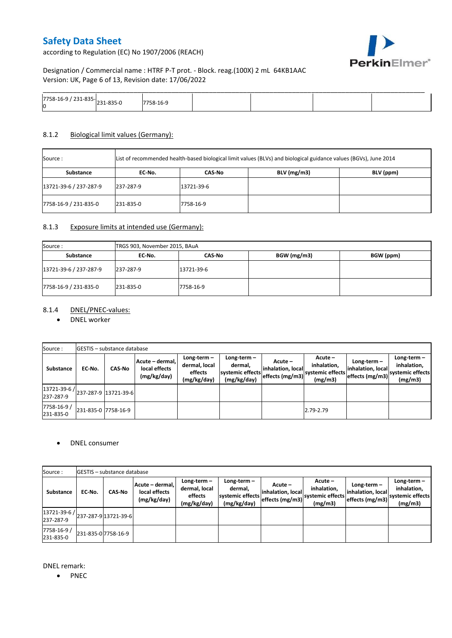according to Regulation (EC) No 1907/2006 (REACH)



Designation / Commercial name : HTRF P-T prot. - Block. reag.(100X) 2 mL 64KB1AAC Version: UK, Page 6 of 13, Revision date: 17/06/2022

|                                                         |            |  | _____ |
|---------------------------------------------------------|------------|--|-------|
| $7758 - 16 - 9$<br>, 231-033- <sub>231</sub> 035 -<br>Ю | ∻∹ס⊥<br>-- |  |       |

#### 8.1.2 Biological limit values (Germany):

| Source :               | List of recommended health-based biological limit values (BLVs) and biological guidance values (BGVs), June 2014 |            |               |           |
|------------------------|------------------------------------------------------------------------------------------------------------------|------------|---------------|-----------|
| Substance              | EC No.                                                                                                           | CAS No     | $BLV$ (mg/m3) | BLV (ppm) |
| 13721-39-6 / 237-287-9 | 237-287-9                                                                                                        | 13721-39-6 |               |           |
| 7758-16-9 / 231-835-0  | 231-835-0                                                                                                        | 7758-16-9  |               |           |

#### 8.1.3 Exposure limits at intended use (Germany):

| Source:                | TRGS 903, November 2015, BAuA |            |             |           |  |  |  |
|------------------------|-------------------------------|------------|-------------|-----------|--|--|--|
| Substance              | EC No.                        | CAS-No     | BGW (mg/m3) | BGW (ppm) |  |  |  |
| 13721-39-6 / 237-287-9 | 237-287-9                     | 13721-39-6 |             |           |  |  |  |
| 7758-16-9 / 231-835-0  | 231-835-0                     | 7758-16-9  |             |           |  |  |  |

#### 8.1.4 DNEL/PNEC-values:

#### • DNEL worker

| Source:                                                                                       |                     | <b>GESTIS</b> - substance database |                                                 |                                                          |                                                           |                                                   |                                                         |                                                     |                                                             |
|-----------------------------------------------------------------------------------------------|---------------------|------------------------------------|-------------------------------------------------|----------------------------------------------------------|-----------------------------------------------------------|---------------------------------------------------|---------------------------------------------------------|-----------------------------------------------------|-------------------------------------------------------------|
| Substance                                                                                     | EC-No.              | <b>CAS-No</b>                      | Acute - dermal,<br>local effects<br>(mg/kg/day) | Long-term $-$<br>dermal, local<br>effects<br>(mg/kg/day) | Long-term -<br>dermal.<br>systemic effects<br>(mg/kg/day) | Acute -<br>linhalation. locall<br>effects (mg/m3) | $Acute -$<br>inhalation,<br>systemic effects<br>(mg/m3) | Long-term –<br>inhalation, local<br>effects (mg/m3) | $Long-term -$<br>inhalation,<br>systemic effects<br>(mg/m3) |
| $\left  \frac{13721 \cdot 39 \cdot 6}{237 \cdot 287 \cdot 9} \right $ 13721-39-6<br>237-287-9 |                     |                                    |                                                 |                                                          |                                                           |                                                   |                                                         |                                                     |                                                             |
| 7758-16-9 /<br>231-835-0                                                                      | 231-835-0 7758-16-9 |                                    |                                                 |                                                          |                                                           |                                                   | 2.79-2.79                                               |                                                     |                                                             |

#### • DNEL consumer

| Source:                                              |                     | <b>GESTIS</b> - substance database |                                                 |                                                          |                                                             |                                                 |                                                       |                                                    |                                                             |
|------------------------------------------------------|---------------------|------------------------------------|-------------------------------------------------|----------------------------------------------------------|-------------------------------------------------------------|-------------------------------------------------|-------------------------------------------------------|----------------------------------------------------|-------------------------------------------------------------|
| Substance                                            | EC No.              | <b>CAS-No</b>                      | Acute - dermal,<br>local effects<br>(mg/kg/day) | $Long-term -$<br>dermal, local<br>effects<br>(mg/kg/day) | Long-term $-$<br>dermal,<br>systemic effects<br>(mg/kg/day) | Acute –<br>inhalation, local<br>effects (mg/m3) | Acute -<br>inhalation,<br>systemic effects<br>(mg/m3) | Long-term-<br>inhalation, local<br>effects (mg/m3) | Long-term $-$<br>inhalation,<br>systemic effects<br>(mg/m3) |
| $ 13721-39-6 $ $ 237-287-9 13721-39-6 $<br>237-287-9 |                     |                                    |                                                 |                                                          |                                                             |                                                 |                                                       |                                                    |                                                             |
| 7758-16-9 /<br>231-835-0                             | 231-835-0 7758-16-9 |                                    |                                                 |                                                          |                                                             |                                                 |                                                       |                                                    |                                                             |

DNEL remark:

• PNEC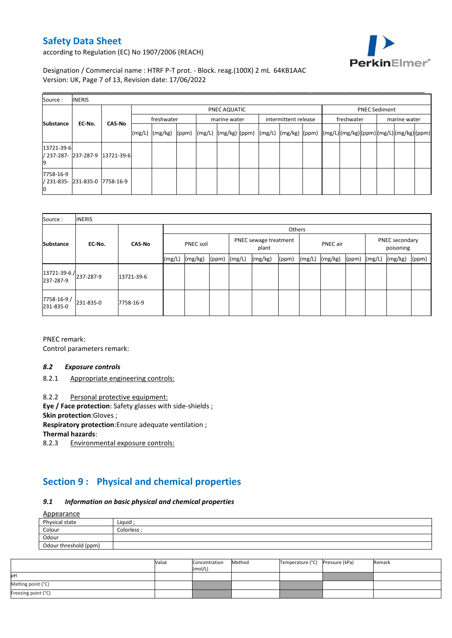

according to Regulation (EC) No 1907/2006 (REACH)

Designation / Commercial name : HTRF P-T prot. - Block. reag.(100X) 2 mL 64KB1AAC Version: UK, Page 7 of 13, Revision date: 17/06/2022

| Source:          | <b>INERIS</b>                  |                                 |                                            |                    |  |  |                      |  |  |                                                    |  |                                                                                                  |  |  |  |
|------------------|--------------------------------|---------------------------------|--------------------------------------------|--------------------|--|--|----------------------|--|--|----------------------------------------------------|--|--------------------------------------------------------------------------------------------------|--|--|--|
| <b>Substance</b> |                                |                                 | PNEC AQUATIC<br>freshwater<br>marine water |                    |  |  | intermittent release |  |  | <b>PNEC Sediment</b><br>freshwater<br>marine water |  |                                                                                                  |  |  |  |
|                  | EC-No.                         | <b>CAS-No</b>                   |                                            | $(mg/L)$ $(mg/kg)$ |  |  |                      |  |  |                                                    |  | (ppm)  (mg/L)  (mg/kg)  (ppm)  (mg/L)  (mg/kg)  (ppm)  (mg/L) (mg/kg) (ppm) (mg/L) (mg/kg) (ppm) |  |  |  |
| 13721-39-6<br>9  |                                | / 237-287- 237-287-9 13721-39-6 |                                            |                    |  |  |                      |  |  |                                                    |  |                                                                                                  |  |  |  |
| 7758-16-9<br>Ю   | / 231-835- 231-835-0 7758-16-9 |                                 |                                            |                    |  |  |                      |  |  |                                                    |  |                                                                                                  |  |  |  |

| Source:                             | <b>INERIS</b> |               |        |                  |       |        |                                |        |        |                 |       |        |                                                 |  |  |
|-------------------------------------|---------------|---------------|--------|------------------|-------|--------|--------------------------------|--------|--------|-----------------|-------|--------|-------------------------------------------------|--|--|
|                                     |               |               |        |                  |       |        |                                | Others |        |                 |       |        | PNEC secondary<br>poisoning<br>(mg/kg)<br>(ppm) |  |  |
| <b>Substance</b>                    | EC-No.        | <b>CAS-No</b> |        | <b>PNEC soil</b> |       |        | PNEC sewage treatment<br>plant |        |        | <b>PNEC</b> air |       |        |                                                 |  |  |
|                                     |               |               | (mg/L) | (mg/kg)          | (ppm) | (mg/L) | (mg/kg)                        | (ppm)  | (mg/L) | (mg/kg)         | (ppm) | (mg/L) |                                                 |  |  |
| 13721-39-6 / 237-287-9<br>237-287-9 |               | 13721-39-6    |        |                  |       |        |                                |        |        |                 |       |        |                                                 |  |  |
| 7758-16-9/<br>231-835-0             | 231-835-0     | 7758-16-9     |        |                  |       |        |                                |        |        |                 |       |        |                                                 |  |  |

PNEC remark: Control parameters remark:

#### *8.2 Exposure controls*

8.2.1 Appropriate engineering controls:

8.2.2 Personal protective equipment:

**Eye / Face protection**: Safety glasses with side-shields ;

**Skin protection**:Gloves ;

**Respiratory protection**:Ensure adequate ventilation ;

**Thermal hazards**:

8.2.3 Environmental exposure controls:

# **Section 9 : Physical and chemical properties**

#### *9.1 Information on basic physical and chemical properties*

 $A = 22$ 

| Appearance            |             |
|-----------------------|-------------|
| Physical state        | Liquid      |
| Colour                | Colorless : |
| Odour                 |             |
| Odour threshold (ppm) |             |

|                     | Value | Concentration<br>(mol/L) | Method | Temperature (°C) Pressure (kPa) | Remark |
|---------------------|-------|--------------------------|--------|---------------------------------|--------|
| юH                  |       |                          |        |                                 |        |
| Melting point (°C)  |       |                          |        |                                 |        |
| Freezing point (°C) |       |                          |        |                                 |        |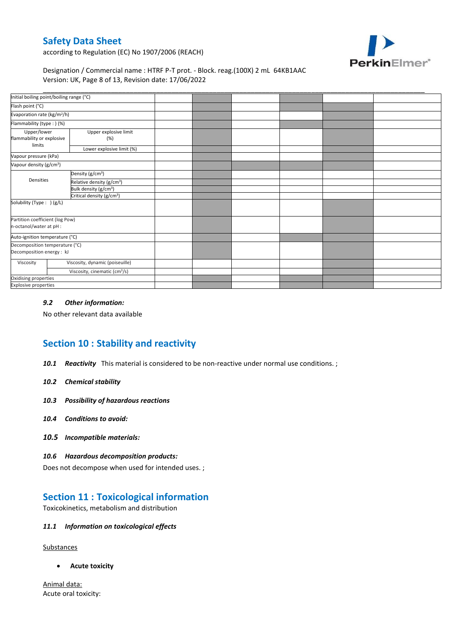

according to Regulation (EC) No 1907/2006 (REACH)

#### Designation / Commercial name : HTRF P-T prot. - Block. reag.(100X) 2 mL 64KB1AAC Version: UK, Page 8 of 13, Revision date: 17/06/2022

|                                                             | Initial boiling point/boiling range (°C)  |  |  |  |
|-------------------------------------------------------------|-------------------------------------------|--|--|--|
| Flash point (°C)                                            |                                           |  |  |  |
| Evaporation rate (kg/m <sup>2</sup> /h)                     |                                           |  |  |  |
| Flammability (type:) (%)                                    |                                           |  |  |  |
| Upper/lower<br>flammability or explosive<br>limits          | Upper explosive limit<br>(%)              |  |  |  |
|                                                             | Lower explosive limit (%)                 |  |  |  |
| Vapour pressure (kPa)                                       |                                           |  |  |  |
| Vapour density (g/cm <sup>3</sup> )                         |                                           |  |  |  |
|                                                             | Density (g/cm <sup>3</sup> )              |  |  |  |
| Densities                                                   | Relative density (g/cm <sup>3</sup> )     |  |  |  |
|                                                             | Bulk density (g/cm <sup>3</sup> )         |  |  |  |
|                                                             | Critical density (g/cm <sup>3</sup> )     |  |  |  |
| Solubility (Type: ) (g/L)                                   |                                           |  |  |  |
| Partition coefficient (log Pow)<br>n-octanol/water at pH :  |                                           |  |  |  |
| Auto-ignition temperature (°C)                              |                                           |  |  |  |
| Decomposition temperature (°C)<br>Decomposition energy : kJ |                                           |  |  |  |
| Viscosity                                                   | Viscosity, dynamic (poiseuille)           |  |  |  |
|                                                             | Viscosity, cinematic (cm <sup>3</sup> /s) |  |  |  |
| Oxidising properties                                        |                                           |  |  |  |
| <b>Explosive properties</b>                                 |                                           |  |  |  |

#### *9.2 Other information:*

No other relevant data available

# **Section 10 : Stability and reactivity**

- *10.1 Reactivity* This material is considered to be non-reactive under normal use conditions. ;
- *10.2 Chemical stability*
- *10.3 Possibility of hazardous reactions*
- *10.4 Conditions to avoid:*
- *10.5 Incompatible materials:*

#### *10.6 Hazardous decomposition products:*

Does not decompose when used for intended uses. ;

### **Section 11 : Toxicological information**

Toxicokinetics, metabolism and distribution

#### *11.1 Information on toxicological effects*

**Substances** 

**Acute toxicity**

Animal data: Acute oral toxicity: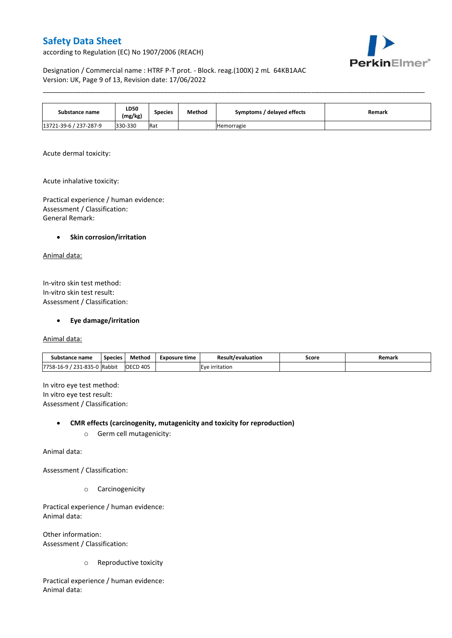according to Regulation (EC) No 1907/2006 (REACH)



Designation / Commercial name : HTRF P-T prot. - Block. reag.(100X) 2 mL 64KB1AAC Version: UK, Page 9 of 13, Revision date: 17/06/2022

| Substance name         | <b>LD50</b><br>(mg/kg) | Species | Method | Symptoms / delayed effects | <b>Remark</b> |
|------------------------|------------------------|---------|--------|----------------------------|---------------|
| 13721-39-6 / 237-287-9 | 330-330                | Rat     |        | Hemorragie                 |               |

\_\_\_\_\_\_\_\_\_\_\_\_\_\_\_\_\_\_\_\_\_\_\_\_\_\_\_\_\_\_\_\_\_\_\_\_\_\_\_\_\_\_\_\_\_\_\_\_\_\_\_\_\_\_\_\_\_\_\_\_\_\_\_\_\_\_\_\_\_\_\_\_\_\_\_\_\_\_\_\_\_\_\_\_\_\_\_\_\_\_\_\_\_\_\_\_\_\_\_\_\_

Acute dermal toxicity:

Acute inhalative toxicity:

Practical experience / human evidence: Assessment / Classification: General Remark:

#### **•** Skin corrosion/irritation

Animal data:

In-vitro skin test method: In-vitro skin test result: Assessment / Classification:

**Eye damage/irritation**

Animal data:

| name:<br>substance                                       | <b>Species</b> | Method               | Exposure time  | Result/evaluation | Score | Remark |
|----------------------------------------------------------|----------------|----------------------|----------------|-------------------|-------|--------|
| 7758-16-9<br>231-835<br>$\sim$<br>¬-<br>_ _ _<br>ັບ<br>∸ | Rabbit         | D 405<br><b>OECD</b> | . .<br>itation |                   |       |        |

In vitro eye test method: In vitro eye test result: Assessment / Classification:

**CMR effects (carcinogenity, mutagenicity and toxicity for reproduction)**

o Germ cell mutagenicity:

Animal data:

Assessment / Classification:

o Carcinogenicity

Practical experience / human evidence: Animal data:

Other information: Assessment / Classification:

o Reproductive toxicity

Practical experience / human evidence: Animal data: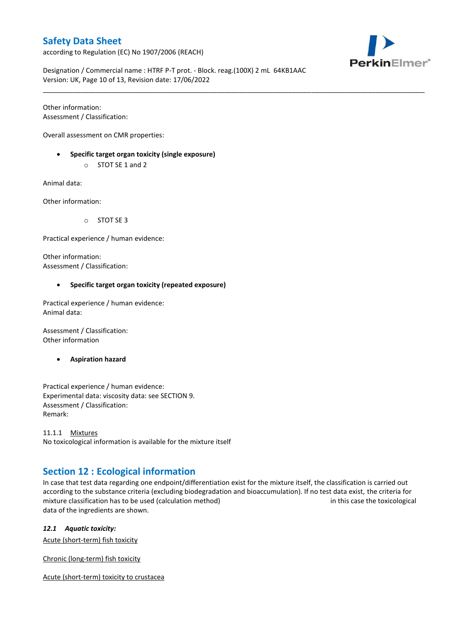according to Regulation (EC) No 1907/2006 (REACH)



Designation / Commercial name : HTRF P-T prot. - Block. reag.(100X) 2 mL 64KB1AAC Version: UK, Page 10 of 13, Revision date: 17/06/2022

\_\_\_\_\_\_\_\_\_\_\_\_\_\_\_\_\_\_\_\_\_\_\_\_\_\_\_\_\_\_\_\_\_\_\_\_\_\_\_\_\_\_\_\_\_\_\_\_\_\_\_\_\_\_\_\_\_\_\_\_\_\_\_\_\_\_\_\_\_\_\_\_\_\_\_\_\_\_\_\_\_\_\_\_\_\_\_\_\_\_\_\_\_\_\_\_\_\_\_\_\_

Other information: Assessment / Classification:

Overall assessment on CMR properties:

- **Specific target organ toxicity (single exposure)**
	- o STOT SE 1 and 2

Animal data:

Other information:

o STOT SE 3

Practical experience / human evidence:

Other information: Assessment / Classification:

#### **Specific target organ toxicity (repeated exposure)**

Practical experience / human evidence: Animal data:

Assessment / Classification: Other information

**Aspiration hazard**

Practical experience / human evidence: Experimental data: viscosity data: see SECTION 9. Assessment / Classification: Remark:

11.1.1 Mixtures No toxicological information is available for the mixture itself

# **Section 12 : Ecological information**

In case that test data regarding one endpoint/differentiation exist for the mixture itself, the classification is carried out according to the substance criteria (excluding biodegradation and bioaccumulation). If no test data exist, the criteria for mixture classification has to be used (calculation method) in this case the toxicological data of the ingredients are shown.

*12.1 Aquatic toxicity:* 

Acute (short-term) fish toxicity

Chronic (long-term) fish toxicity

Acute (short-term) toxicity to crustacea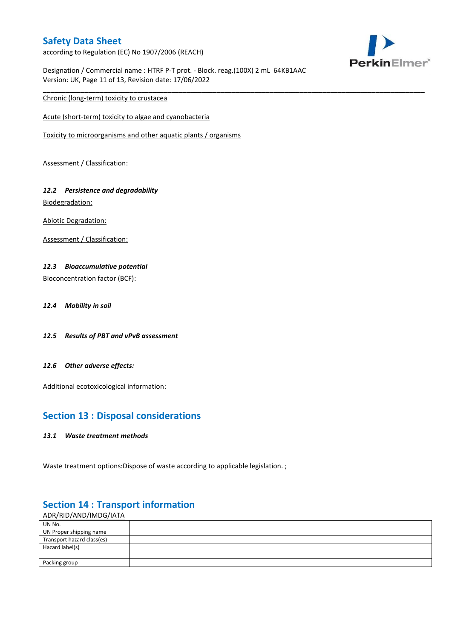according to Regulation (EC) No 1907/2006 (REACH)



Designation / Commercial name : HTRF P-T prot. - Block. reag.(100X) 2 mL 64KB1AAC Version: UK, Page 11 of 13, Revision date: 17/06/2022

\_\_\_\_\_\_\_\_\_\_\_\_\_\_\_\_\_\_\_\_\_\_\_\_\_\_\_\_\_\_\_\_\_\_\_\_\_\_\_\_\_\_\_\_\_\_\_\_\_\_\_\_\_\_\_\_\_\_\_\_\_\_\_\_\_\_\_\_\_\_\_\_\_\_\_\_\_\_\_\_\_\_\_\_\_\_\_\_\_\_\_\_\_\_\_\_\_\_\_\_\_

Chronic (long-term) toxicity to crustacea

Acute (short-term) toxicity to algae and cyanobacteria

Toxicity to microorganisms and other aquatic plants / organisms

Assessment / Classification:

# *12.2 Persistence and degradability*

Biodegradation:

Abiotic Degradation:

Assessment / Classification:

#### *12.3 Bioaccumulative potential*

Bioconcentration factor (BCF):

- *12.4 Mobility in soil*
- *12.5 Results of PBT and vPvB assessment*
- *12.6 Other adverse effects:*

Additional ecotoxicological information:

### **Section 13 : Disposal considerations**

#### *13.1 Waste treatment methods*

Waste treatment options: Dispose of waste according to applicable legislation. ;

#### ADR/RID/AND/IMDG/IATA UN No. UN Proper shipping name Transport hazard class(es) Hazard label(s) Packing group

### **Section 14 : Transport information**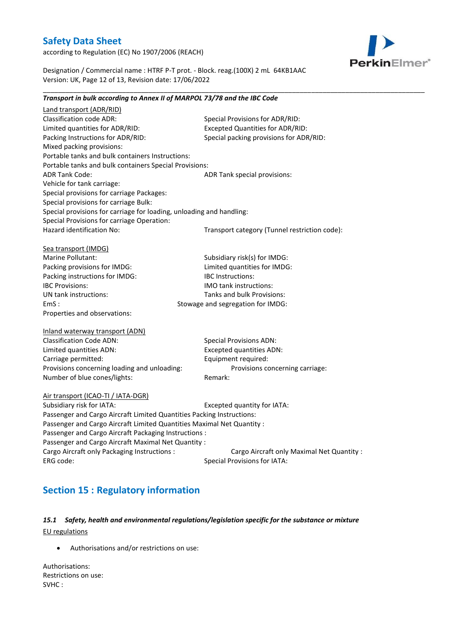according to Regulation (EC) No 1907/2006 (REACH)



Designation / Commercial name : HTRF P-T prot. - Block. reag.(100X) 2 mL 64KB1AAC Version: UK, Page 12 of 13, Revision date: 17/06/2022

*Transport in bulk according to Annex II of MARPOL 73/78 and the IBC Code*

\_\_\_\_\_\_\_\_\_\_\_\_\_\_\_\_\_\_\_\_\_\_\_\_\_\_\_\_\_\_\_\_\_\_\_\_\_\_\_\_\_\_\_\_\_\_\_\_\_\_\_\_\_\_\_\_\_\_\_\_\_\_\_\_\_\_\_\_\_\_\_\_\_\_\_\_\_\_\_\_\_\_\_\_\_\_\_\_\_\_\_\_\_\_\_\_\_\_\_\_\_

### Land transport (ADR/RID) Classification code ADR: Special Provisions for ADR/RID: Limited quantities for ADR/RID: Excepted Quantities for ADR/RID: Packing Instructions for ADR/RID: Special packing provisions for ADR/RID: Mixed packing provisions: Portable tanks and bulk containers Instructions: Portable tanks and bulk containers Special Provisions: ADR Tank Code: ADR Tank special provisions: Vehicle for tank carriage: Special provisions for carriage Packages: Special provisions for carriage Bulk: Special provisions for carriage for loading, unloading and handling: Special Provisions for carriage Operation: Hazard identification No: Transport category (Tunnel restriction code): Sea transport (IMDG) Marine Pollutant: Subsidiary risk(s) for IMDG: Packing provisions for IMDG: Limited quantities for IMDG: Packing instructions for IMDG: IBC Instructions: IBC Provisions: IMO tank instructions: UN tank instructions: Tanks and bulk Provisions: EmS : Stowage and segregation for IMDG: Properties and observations: Inland waterway transport (ADN) Classification Code ADN: Special Provisions ADN: Limited quantities ADN: Excepted quantities ADN: Carriage permitted: Equipment required: Provisions concerning loading and unloading: Provisions concerning carriage: Number of blue cones/lights: Remark: Air transport (ICAO-TI / IATA-DGR) Subsidiary risk for IATA: Excepted quantity for IATA: Passenger and Cargo Aircraft Limited Quantities Packing Instructions: Passenger and Cargo Aircraft Limited Quantities Maximal Net Quantity : Passenger and Cargo Aircraft Packaging Instructions : Passenger and Cargo Aircraft Maximal Net Quantity : Cargo Aircraft only Packaging Instructions : Cargo Aircraft only Maximal Net Quantity : ERG code: Special Provisions for IATA:

# **Section 15 : Regulatory information**

### *15.1 Safety, health and environmental regulations/legislation specific for the substance or mixture* EU regulations

Authorisations and/or restrictions on use:

Authorisations: Restrictions on use: SVHC :